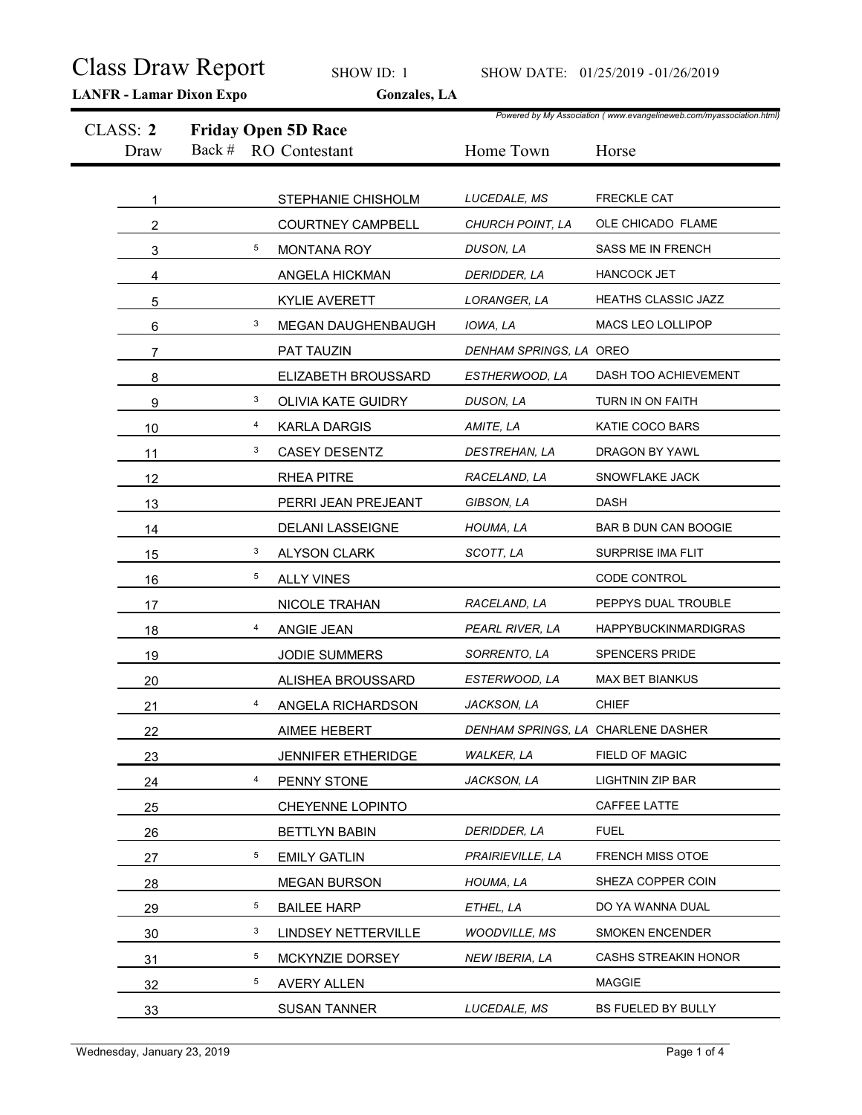|          | <b>Class Draw Report</b><br><b>LANFR - Lamar Dixon Expo</b> | SHOW ID: 1<br>Gonzales, LA           |                                  | SHOW DATE: 01/25/2019 - 01/26/2019                                   |
|----------|-------------------------------------------------------------|--------------------------------------|----------------------------------|----------------------------------------------------------------------|
| CLASS: 2 |                                                             | <b>Friday Open 5D Race</b>           |                                  | Powered by My Association (www.evangelineweb.com/myassociation.html) |
| Draw     | Back #                                                      | RO Contestant                        | Home Town                        | Horse                                                                |
|          |                                                             |                                      |                                  |                                                                      |
|          |                                                             | STEPHANIE CHISHOLM                   | LUCEDALE, MS<br>CHURCH POINT, LA | <b>FRECKLE CAT</b><br>OLE CHICADO FLAME                              |
| 2        | 5                                                           | <b>COURTNEY CAMPBELL</b>             | DUSON, LA                        | SASS ME IN FRENCH                                                    |
| 3<br>4   |                                                             | <b>MONTANA ROY</b><br>ANGELA HICKMAN | DERIDDER, LA                     | <b>HANCOCK JET</b>                                                   |
| 5        |                                                             | <b>KYLIE AVERETT</b>                 | LORANGER, LA                     | HEATHS CLASSIC JAZZ                                                  |
| 6        | 3                                                           | MEGAN DAUGHENBAUGH                   | IOWA, LA                         | MACS LEO LOLLIPOP                                                    |
| 7        |                                                             | PAT TAUZIN                           | DENHAM SPRINGS, LA OREO          |                                                                      |
| 8        |                                                             | ELIZABETH BROUSSARD                  | ESTHERWOOD, LA                   | DASH TOO ACHIEVEMENT                                                 |
| 9        | 3                                                           | OLIVIA KATE GUIDRY                   | DUSON, LA                        | TURN IN ON FAITH                                                     |
| 10       | 4                                                           | <b>KARLA DARGIS</b>                  | AMITE, LA                        | KATIE COCO BARS                                                      |
| 11       | 3                                                           | <b>CASEY DESENTZ</b>                 | DESTREHAN, LA                    | DRAGON BY YAWL                                                       |
| 12       |                                                             | RHEA PITRE                           | RACELAND, LA                     | SNOWFLAKE JACK                                                       |
| 13       |                                                             | PERRI JEAN PREJEANT                  | GIBSON, LA                       | <b>DASH</b>                                                          |
| 14       |                                                             | <b>DELANI LASSEIGNE</b>              | HOUMA, LA                        | BAR B DUN CAN BOOGIE                                                 |
| 15       | $\mathbf{3}$                                                | <b>ALYSON CLARK</b>                  | SCOTT, LA                        | SURPRISE IMA FLIT                                                    |
| 16       | 5 <sub>5</sub>                                              | ALLY VINES                           |                                  | CODE CONTROL                                                         |
| 17       |                                                             | NICOLE TRAHAN                        | RACELAND, LA                     | PEPPYS DUAL TROUBLE                                                  |
| 18       | 4                                                           | ANGIE JEAN                           | PEARL RIVER, LA                  | <b>HAPPYBUCKINMARDIGRAS</b>                                          |
| 19       |                                                             | JODIE SUMMERS                        | SORRENTO, LA                     | SPENCERS PRIDE                                                       |
| 20       |                                                             | ALISHEA BROUSSARD                    | ESTERWOOD, LA                    | MAX BET BIANKUS                                                      |
| 21       | 4                                                           | ANGELA RICHARDSON                    | JACKSON, LA                      | <b>CHIEF</b>                                                         |
| 22       |                                                             | AIMEE HEBERT                         |                                  | DENHAM SPRINGS, LA CHARLENE DASHER                                   |
| 23       |                                                             | JENNIFER ETHERIDGE                   | <b>WALKER, LA</b>                | FIELD OF MAGIC                                                       |
| 24       | 4                                                           | PENNY STONE                          | JACKSON, LA                      | LIGHTNIN ZIP BAR                                                     |
| 25       |                                                             | CHEYENNE LOPINTO                     |                                  | CAFFEE LATTE                                                         |
| 26       |                                                             | <b>BETTLYN BABIN</b>                 | DERIDDER, LA                     | <b>FUEL</b>                                                          |
| 27       | 5 <sub>5</sub>                                              | <b>EMILY GATLIN</b>                  | PRAIRIEVILLE, LA                 | FRENCH MISS OTOE                                                     |
| 28       |                                                             | <b>MEGAN BURSON</b>                  | HOUMA, LA                        | SHEZA COPPER COIN                                                    |
| 29       | $5\overline{)}$                                             | <b>BAILEE HARP</b>                   | ETHEL, LA                        | DO YA WANNA DUAL                                                     |
| 30       | $\mathbf{3}$                                                | LINDSEY NETTERVILLE                  | <b>WOODVILLE, MS</b>             | SMOKEN ENCENDER                                                      |
| 31       | $5\overline{)}$                                             | MCKYNZIE DORSEY                      | NEW IBERIA, LA                   | CASHS STREAKIN HONOR                                                 |
| 32       | $5\overline{)}$                                             | <b>AVERY ALLEN</b>                   |                                  | <b>MAGGIE</b>                                                        |
| 33       |                                                             | <b>SUSAN TANNER</b>                  | LUCEDALE, MS                     | BS FUELED BY BULLY                                                   |
|          |                                                             |                                      |                                  |                                                                      |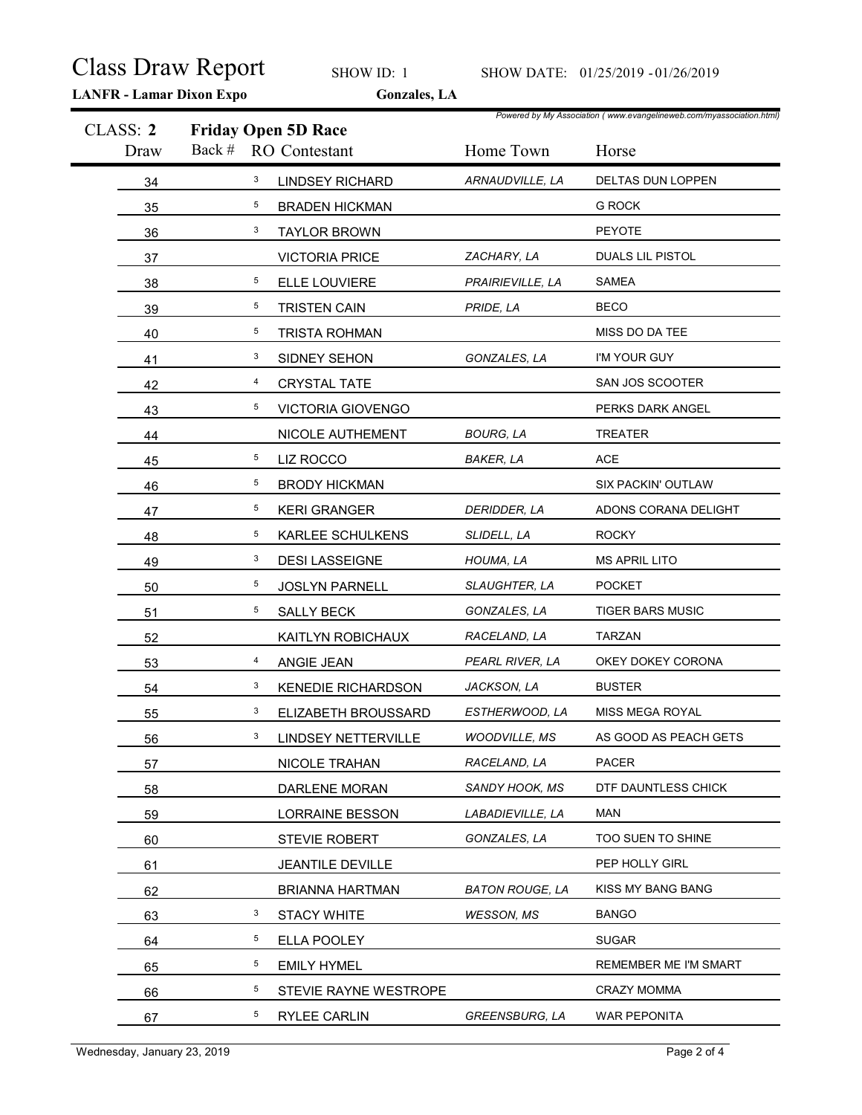|                  | <b>LANFR - Lamar Dixon Expo</b> | <b>Class Draw Report</b><br>SHOW ID: 1<br>Gonzales, LA |                        | SHOW DATE: 01/25/2019 - 01/26/2019                                            |
|------------------|---------------------------------|--------------------------------------------------------|------------------------|-------------------------------------------------------------------------------|
| CLASS: 2<br>Draw | Back #                          | <b>Friday Open 5D Race</b><br><b>RO</b> Contestant     | Home Town              | Powered by My Association (www.evangelineweb.com/myassociation.html)<br>Horse |
| 34               | $\mathbf{3}$                    | <b>LINDSEY RICHARD</b>                                 | ARNAUDVILLE, LA        | DELTAS DUN LOPPEN                                                             |
| 35               | 5                               | <b>BRADEN HICKMAN</b>                                  |                        | <b>G ROCK</b>                                                                 |
| 36               | 3                               | <b>TAYLOR BROWN</b>                                    |                        | PEYOTE                                                                        |
| 37               |                                 | <b>VICTORIA PRICE</b>                                  | ZACHARY, LA            | DUALS LIL PISTOL                                                              |
| 38               | 5                               | ELLE LOUVIERE                                          | PRAIRIEVILLE, LA       | <b>SAMEA</b>                                                                  |
| 39               | 5 <sub>5</sub>                  | <b>TRISTEN CAIN</b>                                    | PRIDE, LA              | <b>BECO</b>                                                                   |
| 40               | $5\phantom{.0}$                 | <b>TRISTA ROHMAN</b>                                   |                        | MISS DO DA TEE                                                                |
| 41               | $\mathbf{3}$                    | SIDNEY SEHON                                           | GONZALES, LA           | I'M YOUR GUY                                                                  |
| 42               | 4                               | CRYSTAL TATE                                           |                        | SAN JOS SCOOTER                                                               |
| 43               | 5 <sub>5</sub>                  | <b>VICTORIA GIOVENGO</b>                               |                        | PERKS DARK ANGEL                                                              |
| 44               |                                 | NICOLE AUTHEMENT                                       | <b>BOURG, LA</b>       | TREATER                                                                       |
| 45               | 5 <sub>5</sub>                  | LIZ ROCCO                                              | <b>BAKER, LA</b>       | $\mathsf{ACE}$                                                                |
| 46               | 5 <sub>5</sub>                  | <b>BRODY HICKMAN</b>                                   |                        | SIX PACKIN' OUTLAW                                                            |
| 47               | 5 <sub>5</sub>                  | <b>KERI GRANGER</b>                                    | DERIDDER, LA           | ADONS CORANA DELIGHT                                                          |
| 48               | 5 <sub>5</sub>                  | KARLEE SCHULKENS                                       | SLIDELL, LA            | <b>ROCKY</b>                                                                  |
| 49               | $\mathbf{3}$                    | <b>DESI LASSEIGNE</b>                                  | HOUMA, LA              | <b>MS APRIL LITO</b>                                                          |
| 50               | 5 <sub>5</sub>                  | JOSLYN PARNELL                                         | SLAUGHTER, LA          | <b>POCKET</b>                                                                 |
| 51               | 5 <sub>5</sub>                  | <b>SALLY BECK</b>                                      | GONZALES, LA           | TIGER BARS MUSIC                                                              |
| 52               |                                 | KAITLYN ROBICHAUX                                      | RACELAND, LA           | TARZAN                                                                        |
| 53               | $\overline{4}$                  | ANGIE JEAN                                             | PEARL RIVER, LA        | OKEY DOKEY CORONA                                                             |
| 54               | $\mathbf{3}$                    | <b>KENEDIE RICHARDSON</b>                              | JACKSON, LA            | <b>BUSTER</b>                                                                 |
| 55               | $\mathbf{3}$                    | ELIZABETH BROUSSARD                                    | ESTHERWOOD, LA         | MISS MEGA ROYAL                                                               |
| 56               | 3                               | LINDSEY NETTERVILLE                                    | <b>WOODVILLE, MS</b>   | AS GOOD AS PEACH GETS                                                         |
| 57               |                                 | NICOLE TRAHAN                                          | RACELAND, LA           | PACER                                                                         |
| 58               |                                 | DARLENE MORAN                                          | SANDY HOOK, MS         | DTF DAUNTLESS CHICK                                                           |
| 59               |                                 | <b>LORRAINE BESSON</b>                                 | LABADIEVILLE, LA       | <b>MAN</b>                                                                    |
| 60               |                                 | <b>STEVIE ROBERT</b>                                   | GONZALES, LA           | TOO SUEN TO SHINE                                                             |
| 61               |                                 | JEANTILE DEVILLE                                       |                        | PEP HOLLY GIRL                                                                |
| 62               |                                 | <b>BRIANNA HARTMAN</b>                                 | <b>BATON ROUGE, LA</b> | KISS MY BANG BANG                                                             |
| 63               | 3                               | <b>STACY WHITE</b>                                     | <b>WESSON, MS</b>      | <b>BANGO</b>                                                                  |
| 64               | 5 <sub>5</sub>                  | ELLA POOLEY                                            |                        | <b>SUGAR</b>                                                                  |
| 65               | 5 <sub>5</sub>                  | <b>EMILY HYMEL</b>                                     |                        | REMEMBER ME I'M SMART                                                         |
| 66               | 5 <sub>5</sub>                  | STEVIE RAYNE WESTROPE                                  |                        | <b>CRAZY MOMMA</b>                                                            |
|                  | 5 <sub>5</sub>                  | RYLEE CARLIN                                           | <b>GREENSBURG, LA</b>  | WAR PEPONITA                                                                  |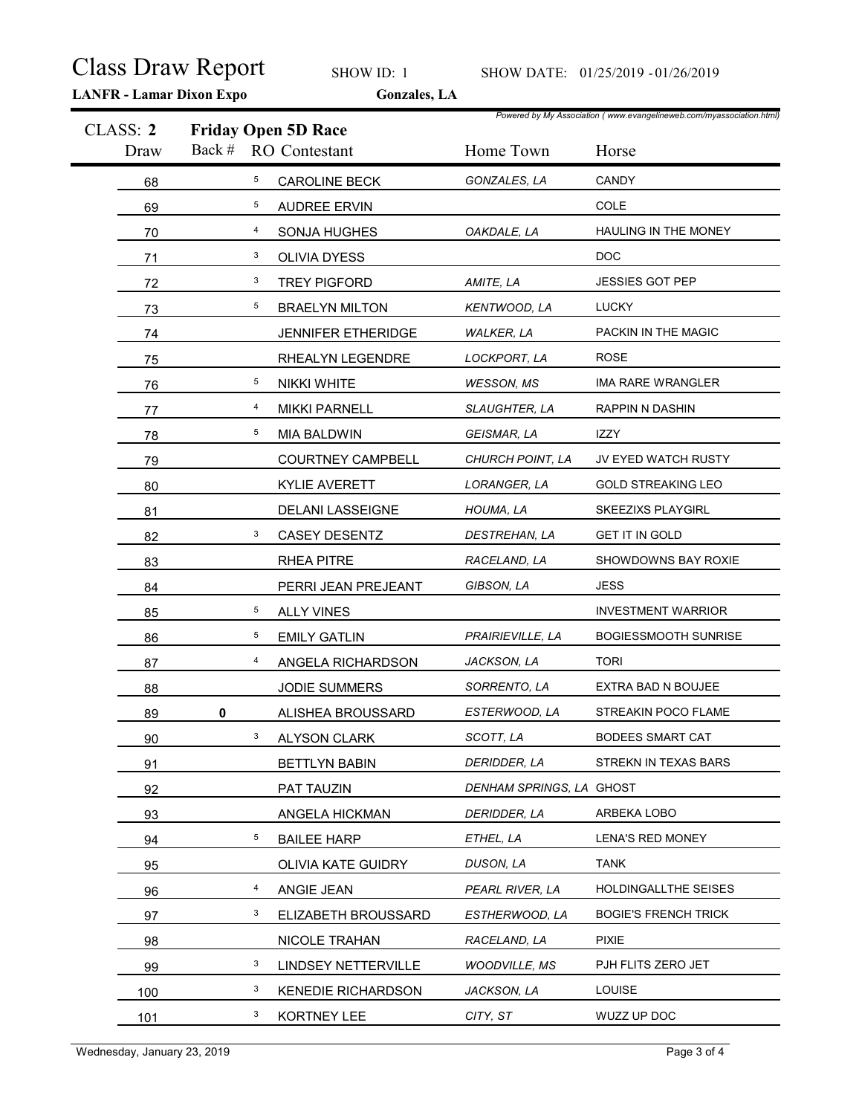|                  | <b>Class Draw Report</b><br><b>LANFR - Lamar Dixon Expo</b> | SHOW ID: 1<br>Gonzales, LA                         |                          | SHOW DATE: 01/25/2019 - 01/26/2019                                            |
|------------------|-------------------------------------------------------------|----------------------------------------------------|--------------------------|-------------------------------------------------------------------------------|
| CLASS: 2<br>Draw | Back #                                                      | <b>Friday Open 5D Race</b><br><b>RO</b> Contestant | Home Town                | Powered by My Association (www.evangelineweb.com/myassociation.html)<br>Horse |
| 68               | $5\overline{)}$                                             | <b>CAROLINE BECK</b>                               | GONZALES, LA             | CANDY                                                                         |
| 69               | $5\overline{)}$                                             | <b>AUDREE ERVIN</b>                                |                          | COLE                                                                          |
| 70               | 4                                                           | SONJA HUGHES                                       | OAKDALE, LA              | HAULING IN THE MONEY                                                          |
| 71               | $\mathbf{3}$                                                | OLIVIA DYESS                                       |                          | DOC                                                                           |
| 72               | $\mathbf{3}$                                                | <b>TREY PIGFORD</b>                                | AMITE, LA                | JESSIES GOT PEP                                                               |
| 73               | $5\overline{)}$                                             | <b>BRAELYN MILTON</b>                              | KENTWOOD, LA             | <b>LUCKY</b>                                                                  |
| 74               |                                                             | JENNIFER ETHERIDGE                                 | <b>WALKER, LA</b>        | PACKIN IN THE MAGIC                                                           |
| 75               |                                                             | RHEALYN LEGENDRE                                   | LOCKPORT, LA             | <b>ROSE</b>                                                                   |
| 76               | 5                                                           | NIKKI WHITE                                        | <b>WESSON, MS</b>        | <b>IMA RARE WRANGLER</b>                                                      |
| 77               | 4                                                           | <b>MIKKI PARNELL</b>                               | SLAUGHTER, LA            | RAPPIN N DASHIN                                                               |
| 78               | 5 <sub>5</sub>                                              | <b>MIA BALDWIN</b>                                 | GEISMAR, LA              | IZZY                                                                          |
| 79               |                                                             | <b>COURTNEY CAMPBELL</b>                           | CHURCH POINT, LA         | JV EYED WATCH RUSTY                                                           |
| 80               |                                                             | KYLIE AVERETT                                      | LORANGER, LA             | <b>GOLD STREAKING LEO</b>                                                     |
| 81               |                                                             | <b>DELANI LASSEIGNE</b>                            | HOUMA, LA                | SKEEZIXS PLAYGIRL                                                             |
| 82               | $\mathbf{3}$                                                | <b>CASEY DESENTZ</b>                               | DESTREHAN, LA            | <b>GET IT IN GOLD</b>                                                         |
| 83               |                                                             | RHEA PITRE                                         | RACELAND, LA             | SHOWDOWNS BAY ROXIE                                                           |
| 84               |                                                             | PERRI JEAN PREJEANT                                | GIBSON, LA               | <b>JESS</b>                                                                   |
| 85               | 5 <sub>5</sub>                                              | <b>ALLY VINES</b>                                  |                          | <b>INVESTMENT WARRIOR</b>                                                     |
| 86               | 5 <sub>5</sub>                                              | <b>EMILY GATLIN</b>                                | PRAIRIEVILLE, LA         | <b>BOGIESSMOOTH SUNRISE</b>                                                   |
| 87               | $\overline{4}$                                              | ANGELA RICHARDSON                                  | JACKSON, LA              | <b>TORI</b>                                                                   |
| 88               |                                                             | JODIE SUMMERS                                      | SORRENTO, LA             | EXTRA BAD N BOUJEE                                                            |
| 89               | $\mathbf 0$                                                 | ALISHEA BROUSSARD                                  | ESTERWOOD, LA            | STREAKIN POCO FLAME                                                           |
| 90               | 3 <sup>7</sup>                                              | <b>ALYSON CLARK</b>                                | SCOTT, LA                | <b>BODEES SMART CAT</b>                                                       |
| 91               |                                                             | <b>BETTLYN BABIN</b>                               | DERIDDER, LA             | STREKN IN TEXAS BARS                                                          |
| 92               |                                                             | PAT TAUZIN                                         | DENHAM SPRINGS, LA GHOST |                                                                               |
| 93               |                                                             | ANGELA HICKMAN                                     | DERIDDER, LA             | ARBEKA LOBO                                                                   |
| 94               | 5                                                           | <b>BAILEE HARP</b>                                 | ETHEL, LA                | LENA'S RED MONEY                                                              |
| 95               |                                                             | OLIVIA KATE GUIDRY                                 | DUSON, LA                | <b>TANK</b>                                                                   |
| 96               | $\overline{4}$                                              | ANGIE JEAN                                         | PEARL RIVER, LA          | HOLDINGALLTHE SEISES                                                          |
| 97               | 3                                                           | ELIZABETH BROUSSARD                                | ESTHERWOOD, LA           | <b>BOGIE'S FRENCH TRICK</b>                                                   |
| 98               |                                                             | NICOLE TRAHAN                                      | RACELAND, LA             | <b>PIXIE</b>                                                                  |
| 99               | 3                                                           | LINDSEY NETTERVILLE                                | <b>WOODVILLE, MS</b>     | PJH FLITS ZERO JET                                                            |
| 100              | 3                                                           | <b>KENEDIE RICHARDSON</b>                          | JACKSON, LA              | LOUISE                                                                        |
| 101              | 3                                                           | KORTNEY LEE                                        | CITY, ST                 | WUZZ UP DOC                                                                   |
|                  |                                                             |                                                    |                          |                                                                               |